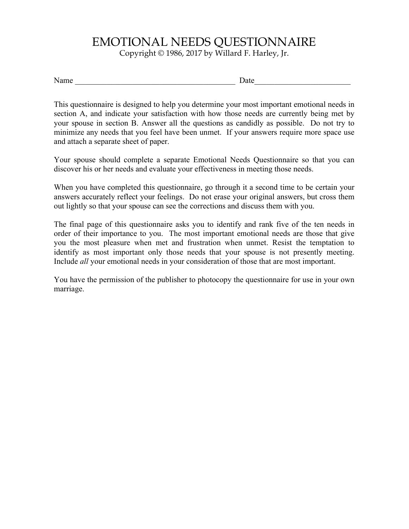## EMOTIONAL NEEDS QUESTIONNAIRE

Copyright © 1986, 2017 by Willard F. Harley, Jr.

Name Letting the set of  $\Gamma$  and  $\Gamma$  are  $\Gamma$ 

This questionnaire is designed to help you determine your most important emotional needs in section A, and indicate your satisfaction with how those needs are currently being met by your spouse in section B. Answer all the questions as candidly as possible. Do not try to minimize any needs that you feel have been unmet. If your answers require more space use and attach a separate sheet of paper.

Your spouse should complete a separate Emotional Needs Questionnaire so that you can discover his or her needs and evaluate your effectiveness in meeting those needs.

When you have completed this questionnaire, go through it a second time to be certain your answers accurately reflect your feelings. Do not erase your original answers, but cross them out lightly so that your spouse can see the corrections and discuss them with you.

The final page of this questionnaire asks you to identify and rank five of the ten needs in order of their importance to you. The most important emotional needs are those that give you the most pleasure when met and frustration when unmet. Resist the temptation to identify as most important only those needs that your spouse is not presently meeting. Include *all* your emotional needs in your consideration of those that are most important.

You have the permission of the publisher to photocopy the questionnaire for use in your own marriage.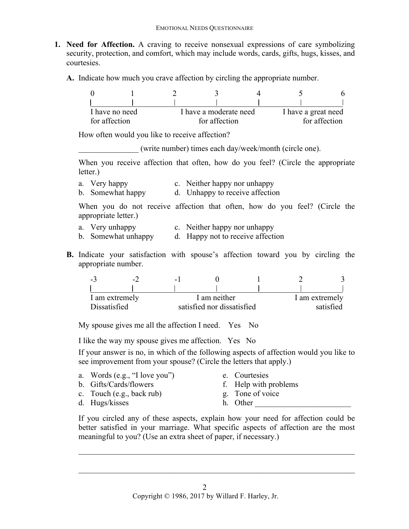- **1. Need for Affection.** A craving to receive nonsexual expressions of care symbolizing security, protection, and comfort, which may include words, cards, gifts, hugs, kisses, and courtesies.
	- **A.** Indicate how much you crave affection by circling the appropriate number.

| I have no need |  | I have a moderate need | I have a great need |  |  |
|----------------|--|------------------------|---------------------|--|--|
| for affection  |  | for affection          | for affection       |  |  |

How often would you like to receive affection?

\_\_\_\_\_\_\_\_\_\_\_\_\_\_\_ (write number) times each day/week/month (circle one).

When you receive affection that often, how do you feel? (Circle the appropriate letter.)

- a. Very happy c. Neither happy nor unhappy
- b. Somewhat happy d. Unhappy to receive affection

When you do not receive affection that often, how do you feel? (Circle the appropriate letter.)

- 
- a. Very unhappy c. Neither happy nor unhappy<br>b. Somewhat unhappy d. Happy not to receive affecti d. Happy not to receive affection
- **B.** Indicate your satisfaction with spouse's affection toward you by circling the appropriate number.

| $\blacksquare$ $\blacktriangle$ | $\overline{z}$ | - 1                        |  |  |                |  |  |
|---------------------------------|----------------|----------------------------|--|--|----------------|--|--|
|                                 |                |                            |  |  |                |  |  |
| I am extremely                  |                | I am neither               |  |  | I am extremely |  |  |
| Dissatisfied                    |                | satisfied nor dissatisfied |  |  | satisfied      |  |  |

My spouse gives me all the affection I need. Yes No

I like the way my spouse gives me affection. Yes No

If your answer is no, in which of the following aspects of affection would you like to see improvement from your spouse? (Circle the letters that apply.)

- a. Words (e.g., "I love you") e. Courtesies
- b. Gifts/Cards/flowers f. Help with problems
- c. Touch (e.g., back rub) g. Tone of voice
- 
- 
- 
- d. Hugs/kisses h. Other
	-

If you circled any of these aspects, explain how your need for affection could be better satisfied in your marriage. What specific aspects of affection are the most meaningful to you? (Use an extra sheet of paper, if necessary.)

 $\mathcal{L}_\mathcal{L} = \mathcal{L}_\mathcal{L} = \mathcal{L}_\mathcal{L} = \mathcal{L}_\mathcal{L} = \mathcal{L}_\mathcal{L} = \mathcal{L}_\mathcal{L} = \mathcal{L}_\mathcal{L} = \mathcal{L}_\mathcal{L} = \mathcal{L}_\mathcal{L} = \mathcal{L}_\mathcal{L} = \mathcal{L}_\mathcal{L} = \mathcal{L}_\mathcal{L} = \mathcal{L}_\mathcal{L} = \mathcal{L}_\mathcal{L} = \mathcal{L}_\mathcal{L} = \mathcal{L}_\mathcal{L} = \mathcal{L}_\mathcal{L}$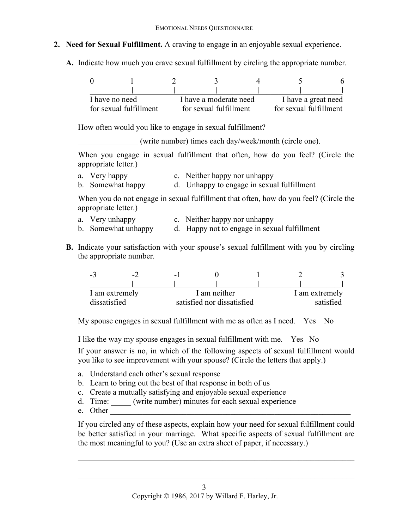## **2. Need for Sexual Fulfillment.** A craving to engage in an enjoyable sexual experience.

**A.** Indicate how much you crave sexual fulfillment by circling the appropriate number.

| I have no need         |  |                        | I have a moderate need |  | I have a great need    |  |  |
|------------------------|--|------------------------|------------------------|--|------------------------|--|--|
| for sexual fulfillment |  | for sexual fulfillment |                        |  | for sexual fulfillment |  |  |

How often would you like to engage in sexual fulfillment?

\_\_\_\_\_\_\_\_\_\_\_\_\_\_\_ (write number) times each day/week/month (circle one).

When you engage in sexual fulfillment that often, how do you feel? (Circle the appropriate letter.)

a. Very happy c. Neither happy nor unhappy b. Somewhat happy d. Unhappy to engage in sexual fulfillment

When you do not engage in sexual fulfillment that often, how do you feel? (Circle the appropriate letter.)

- a. Very unhappy c. Neither happy nor unhappy
- b. Somewhat unhappy d. Happy not to engage in sexual fulfillment
- **B.** Indicate your satisfaction with your spouse's sexual fulfillment with you by circling the appropriate number.

| - 1 | $\overline{\phantom{0}}$ | . . |                            |  |           |                |  |
|-----|--------------------------|-----|----------------------------|--|-----------|----------------|--|
|     |                          |     |                            |  |           |                |  |
|     | I am extremely           |     | I am neither               |  |           | I am extremely |  |
|     | dissatisfied             |     | satisfied nor dissatisfied |  | satisfied |                |  |

My spouse engages in sexual fulfillment with me as often as I need. Yes No

I like the way my spouse engages in sexual fulfillment with me. Yes No

If your answer is no, in which of the following aspects of sexual fulfillment would you like to see improvement with your spouse? (Circle the letters that apply.)

- a. Understand each other's sexual response
- b. Learn to bring out the best of that response in both of us
- c. Create a mutually satisfying and enjoyable sexual experience
- d. Time: \_\_\_\_\_ (write number) minutes for each sexual experience
- e. Other

If you circled any of these aspects, explain how your need for sexual fulfillment could be better satisfied in your marriage. What specific aspects of sexual fulfillment are the most meaningful to you? (Use an extra sheet of paper, if necessary.)

 $\mathcal{L}_\mathcal{L} = \mathcal{L}_\mathcal{L} = \mathcal{L}_\mathcal{L} = \mathcal{L}_\mathcal{L} = \mathcal{L}_\mathcal{L} = \mathcal{L}_\mathcal{L} = \mathcal{L}_\mathcal{L} = \mathcal{L}_\mathcal{L} = \mathcal{L}_\mathcal{L} = \mathcal{L}_\mathcal{L} = \mathcal{L}_\mathcal{L} = \mathcal{L}_\mathcal{L} = \mathcal{L}_\mathcal{L} = \mathcal{L}_\mathcal{L} = \mathcal{L}_\mathcal{L} = \mathcal{L}_\mathcal{L} = \mathcal{L}_\mathcal{L}$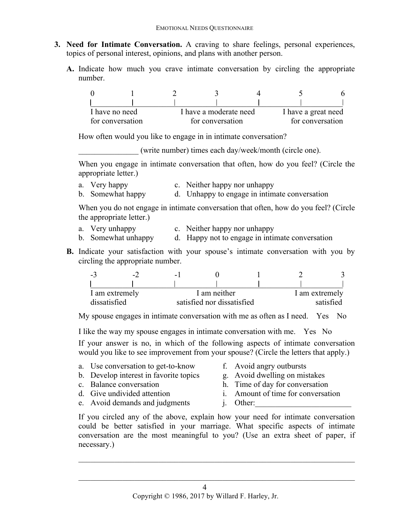- **3. Need for Intimate Conversation.** A craving to share feelings, personal experiences, topics of personal interest, opinions, and plans with another person.
	- **A.** Indicate how much you crave intimate conversation by circling the appropriate number.

| I have a moderate need<br>I have no need |  |  |                  | I have a great need |  |  |
|------------------------------------------|--|--|------------------|---------------------|--|--|
| for conversation                         |  |  | for conversation | for conversation    |  |  |

How often would you like to engage in in intimate conversation?

\_\_\_\_\_\_\_\_\_\_\_\_\_\_\_ (write number) times each day/week/month (circle one).

When you engage in intimate conversation that often, how do you feel? (Circle the appropriate letter.)

- a. Very happy c. Neither happy nor unhappy
- b. Somewhat happy d. Unhappy to engage in intimate conversation

When you do not engage in intimate conversation that often, how do you feel? (Circle the appropriate letter.)

- a. Very unhappy c. Neither happy nor unhappy
- b. Somewhat unhappy d. Happy not to engage in intimate conversation
- **B.** Indicate your satisfaction with your spouse's intimate conversation with you by circling the appropriate number.

| $-1$           | $\overline{\phantom{0}}$ | - 1 |                            |                |  |  |
|----------------|--------------------------|-----|----------------------------|----------------|--|--|
|                |                          |     |                            |                |  |  |
| I am extremely |                          |     | I am neither               | I am extremely |  |  |
| dissatisfied   |                          |     | satisfied nor dissatisfied | satisfied      |  |  |

My spouse engages in intimate conversation with me as often as I need. Yes No

I like the way my spouse engages in intimate conversation with me. Yes No

If your answer is no, in which of the following aspects of intimate conversation would you like to see improvement from your spouse? (Circle the letters that apply.)

- a. Use conversation to get-to-know f. Avoid angry outbursts
- b. Develop interest in favorite topics g. Avoid dwelling on mistakes
- 
- 
- 
- 
- c. Balance conversation h. Time of day for conversation
- d. Give undivided attention i. Amount of time for conversation
- e. Avoid demands and judgments i. Other:
	-

If you circled any of the above, explain how your need for intimate conversation could be better satisfied in your marriage. What specific aspects of intimate conversation are the most meaningful to you? (Use an extra sheet of paper, if necessary.)

 $\mathcal{L}_\mathcal{L} = \mathcal{L}_\mathcal{L} = \mathcal{L}_\mathcal{L} = \mathcal{L}_\mathcal{L} = \mathcal{L}_\mathcal{L} = \mathcal{L}_\mathcal{L} = \mathcal{L}_\mathcal{L} = \mathcal{L}_\mathcal{L} = \mathcal{L}_\mathcal{L} = \mathcal{L}_\mathcal{L} = \mathcal{L}_\mathcal{L} = \mathcal{L}_\mathcal{L} = \mathcal{L}_\mathcal{L} = \mathcal{L}_\mathcal{L} = \mathcal{L}_\mathcal{L} = \mathcal{L}_\mathcal{L} = \mathcal{L}_\mathcal{L}$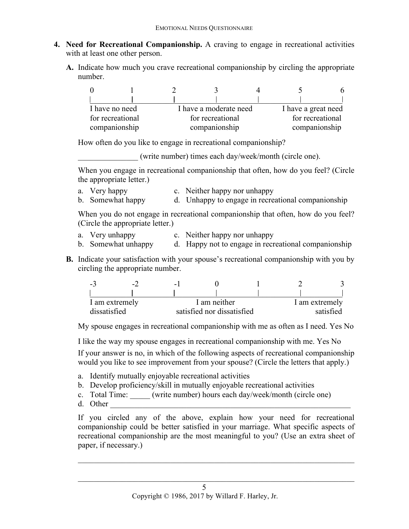- **4. Need for Recreational Companionship.** A craving to engage in recreational activities with at least one other person.
	- **A.** Indicate how much you crave recreational companionship by circling the appropriate number.

|                                          |                                      |  |                     |                  | 6 |  |
|------------------------------------------|--------------------------------------|--|---------------------|------------------|---|--|
|                                          |                                      |  |                     |                  |   |  |
| I have a moderate need<br>I have no need |                                      |  | I have a great need |                  |   |  |
|                                          | for recreational<br>for recreational |  |                     | for recreational |   |  |
| companionship                            |                                      |  | companionship       | companionship    |   |  |

How often do you like to engage in recreational companionship?

\_\_\_\_\_\_\_\_\_\_\_\_\_\_\_ (write number) times each day/week/month (circle one).

When you engage in recreational companionship that often, how do you feel? (Circle the appropriate letter.)

- a. Very happy c. Neither happy nor unhappy
- b. Somewhat happy d. Unhappy to engage in recreational companionship

When you do not engage in recreational companionship that often, how do you feel? (Circle the appropriate letter.)

- a. Very unhappy c. Neither happy nor unhappy
- b. Somewhat unhappy d. Happy not to engage in recreational companionship
- **B.** Indicate your satisfaction with your spouse's recreational companionship with you by circling the appropriate number.

| $-1$           | $\overline{\phantom{0}}$ | - 1 |                            |  |           |                |  |  |
|----------------|--------------------------|-----|----------------------------|--|-----------|----------------|--|--|
|                |                          |     |                            |  |           |                |  |  |
| I am extremely |                          |     | I am neither               |  |           | I am extremely |  |  |
| dissatisfied   |                          |     | satisfied nor dissatisfied |  | satisfied |                |  |  |

My spouse engages in recreational companionship with me as often as I need. Yes No

I like the way my spouse engages in recreational companionship with me. Yes No

If your answer is no, in which of the following aspects of recreational companionship would you like to see improvement from your spouse? (Circle the letters that apply.)

- a. Identify mutually enjoyable recreational activities
- b. Develop proficiency/skill in mutually enjoyable recreational activities
- c. Total Time: (write number) hours each day/week/month (circle one)
- d. Other

If you circled any of the above, explain how your need for recreational companionship could be better satisfied in your marriage. What specific aspects of recreational companionship are the most meaningful to you? (Use an extra sheet of paper, if necessary.)

 $\mathcal{L}_\mathcal{L} = \mathcal{L}_\mathcal{L} = \mathcal{L}_\mathcal{L} = \mathcal{L}_\mathcal{L} = \mathcal{L}_\mathcal{L} = \mathcal{L}_\mathcal{L} = \mathcal{L}_\mathcal{L} = \mathcal{L}_\mathcal{L} = \mathcal{L}_\mathcal{L} = \mathcal{L}_\mathcal{L} = \mathcal{L}_\mathcal{L} = \mathcal{L}_\mathcal{L} = \mathcal{L}_\mathcal{L} = \mathcal{L}_\mathcal{L} = \mathcal{L}_\mathcal{L} = \mathcal{L}_\mathcal{L} = \mathcal{L}_\mathcal{L}$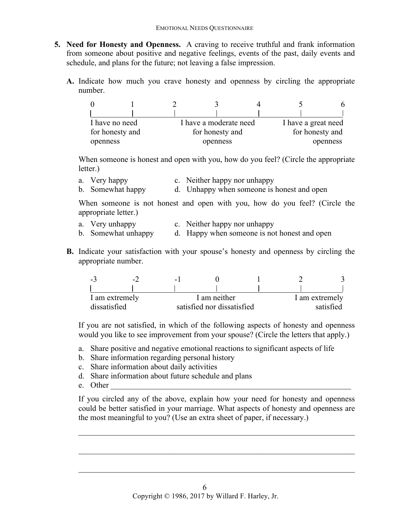- **5. Need for Honesty and Openness.** A craving to receive truthful and frank information from someone about positive and negative feelings, events of the past, daily events and schedule, and plans for the future; not leaving a false impression.
	- **A.** Indicate how much you crave honesty and openness by circling the appropriate number.

| I have no need  |  |  | I have a moderate need |          | I have a great need |  |  |
|-----------------|--|--|------------------------|----------|---------------------|--|--|
| for honesty and |  |  | for honesty and        |          | for honesty and     |  |  |
| openness        |  |  | openness               | openness |                     |  |  |

When someone is honest and open with you, how do you feel? (Circle the appropriate letter.)

a. Very happy c. Neither happy nor unhappy b. Somewhat happy d. Unhappy when someone is honest and open

When someone is not honest and open with you, how do you feel? (Circle the appropriate letter.)

- a. Very unhappy c. Neither happy nor unhappy
- b. Somewhat unhappy d. Happy when someone is not honest and open
- **B.** Indicate your satisfaction with your spouse's honesty and openness by circling the appropriate number.

| шh             | $\overline{\phantom{a}}$ | $-1$                       |  |  |                |  |  |
|----------------|--------------------------|----------------------------|--|--|----------------|--|--|
|                |                          |                            |  |  |                |  |  |
| I am extremely |                          | I am neither               |  |  | I am extremely |  |  |
| dissatisfied   |                          | satisfied nor dissatisfied |  |  | satisfied      |  |  |

If you are not satisfied, in which of the following aspects of honesty and openness would you like to see improvement from your spouse? (Circle the letters that apply.)

- a. Share positive and negative emotional reactions to significant aspects of life
- b. Share information regarding personal history
- c. Share information about daily activities
- d. Share information about future schedule and plans
- e. Other

If you circled any of the above, explain how your need for honesty and openness could be better satisfied in your marriage. What aspects of honesty and openness are the most meaningful to you? (Use an extra sheet of paper, if necessary.)

 $\mathcal{L}_\mathcal{L} = \mathcal{L}_\mathcal{L} = \mathcal{L}_\mathcal{L} = \mathcal{L}_\mathcal{L} = \mathcal{L}_\mathcal{L} = \mathcal{L}_\mathcal{L} = \mathcal{L}_\mathcal{L} = \mathcal{L}_\mathcal{L} = \mathcal{L}_\mathcal{L} = \mathcal{L}_\mathcal{L} = \mathcal{L}_\mathcal{L} = \mathcal{L}_\mathcal{L} = \mathcal{L}_\mathcal{L} = \mathcal{L}_\mathcal{L} = \mathcal{L}_\mathcal{L} = \mathcal{L}_\mathcal{L} = \mathcal{L}_\mathcal{L}$ 

 $\mathcal{L}_\text{max} = \frac{1}{2} \sum_{i=1}^n \mathcal{L}_\text{max}(\mathbf{z}_i - \mathbf{z}_i)$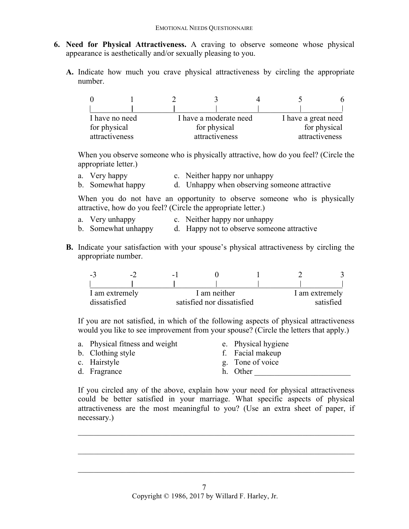- **6. Need for Physical Attractiveness.** A craving to observe someone whose physical appearance is aesthetically and/or sexually pleasing to you.
	- **A.** Indicate how much you crave physical attractiveness by circling the appropriate number.

| I have a moderate need<br>I have no need |  |              |                | I have a great need |                |              |  |
|------------------------------------------|--|--------------|----------------|---------------------|----------------|--------------|--|
| for physical                             |  | for physical |                |                     |                | for physical |  |
| attractiveness                           |  |              | attractiveness |                     | attractiveness |              |  |

When you observe someone who is physically attractive, how do you feel? (Circle the appropriate letter.)

a. Very happy c. Neither happy nor unhappy<br>b. Somewhat happy d. Unhappy when observing so d. Unhappy when observing someone attractive

When you do not have an opportunity to observe someone who is physically attractive, how do you feel? (Circle the appropriate letter.)

- a. Very unhappy c. Neither happy nor unhappy
- b. Somewhat unhappy d. Happy not to observe someone attractive
- **B.** Indicate your satisfaction with your spouse's physical attractiveness by circling the appropriate number.

| $-1$           | $\overline{\phantom{a}}$ | - 1 |                            |  |           |                |  |  |
|----------------|--------------------------|-----|----------------------------|--|-----------|----------------|--|--|
|                |                          |     |                            |  |           |                |  |  |
| I am extremely |                          |     | I am neither               |  |           | I am extremely |  |  |
| dissatisfied   |                          |     | satisfied nor dissatisfied |  | satisfied |                |  |  |

If you are not satisfied, in which of the following aspects of physical attractiveness would you like to see improvement from your spouse? (Circle the letters that apply.)

- a. Physical fitness and weight e. Physical hygiene
- b. Clothing style f. Facial makeup
- 

- 
- c. Hairstyle g. Tone of voice
- 
- d. Fragrance h. Other

If you circled any of the above, explain how your need for physical attractiveness could be better satisfied in your marriage. What specific aspects of physical attractiveness are the most meaningful to you? (Use an extra sheet of paper, if necessary.)

 $\mathcal{L}_\mathcal{L} = \mathcal{L}_\mathcal{L} = \mathcal{L}_\mathcal{L} = \mathcal{L}_\mathcal{L} = \mathcal{L}_\mathcal{L} = \mathcal{L}_\mathcal{L} = \mathcal{L}_\mathcal{L} = \mathcal{L}_\mathcal{L} = \mathcal{L}_\mathcal{L} = \mathcal{L}_\mathcal{L} = \mathcal{L}_\mathcal{L} = \mathcal{L}_\mathcal{L} = \mathcal{L}_\mathcal{L} = \mathcal{L}_\mathcal{L} = \mathcal{L}_\mathcal{L} = \mathcal{L}_\mathcal{L} = \mathcal{L}_\mathcal{L}$ 

 $\mathcal{L}_\text{max} = \frac{1}{2} \sum_{i=1}^n \mathcal{L}_\text{max}(\mathbf{z}_i - \mathbf{z}_i)$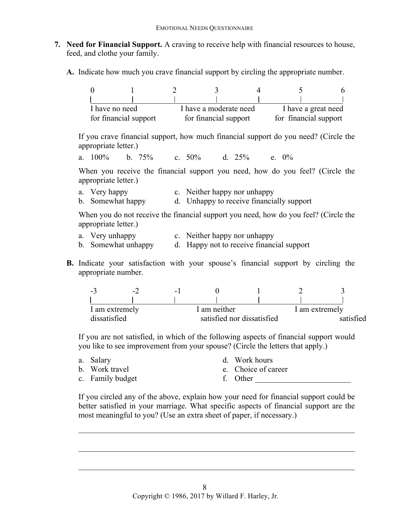- **7. Need for Financial Support.** A craving to receive help with financial resources to house, feed, and clothe your family.
	- **A.** Indicate how much you crave financial support by circling the appropriate number.

| I have no need        |  | I have a moderate need |                       |  | I have a great need   |  |  |
|-----------------------|--|------------------------|-----------------------|--|-----------------------|--|--|
| for financial support |  |                        | for financial support |  | for financial support |  |  |

If you crave financial support, how much financial support do you need? (Circle the appropriate letter.)

a. 100% b. 75% c. 50% d. 25% e. 0%

When you receive the financial support you need, how do you feel? (Circle the appropriate letter.)

| a. Very happy | c. Neither happy nor unhappy                             |
|---------------|----------------------------------------------------------|
|               | h Comovingt honore d Unhonore to require financially gun |

b. Somewhat happy d. Unhappy to receive financially support

When you do not receive the financial support you need, how do you feel? (Circle the appropriate letter.)

- a. Very unhappy c. Neither happy nor unhappy
- b. Somewhat unhappy d. Happy not to receive financial support
- **B.** Indicate your satisfaction with your spouse's financial support by circling the appropriate number.

| $\sim$ 2.      | $\overline{\phantom{0}}$ | - |              |                            |  |                |
|----------------|--------------------------|---|--------------|----------------------------|--|----------------|
|                |                          |   |              |                            |  |                |
| I am extremely |                          |   | I am neither |                            |  | I am extremely |
| dissatisfied   |                          |   |              | satisfied nor dissatisfied |  | satisfied      |

If you are not satisfied, in which of the following aspects of financial support would you like to see improvement from your spouse? (Circle the letters that apply.)

| a. Salary        | d. Work hours       |
|------------------|---------------------|
| b. Work travel   | e. Choice of career |
| c. Family budget | f. Other            |

If you circled any of the above, explain how your need for financial support could be better satisfied in your marriage. What specific aspects of financial support are the most meaningful to you? (Use an extra sheet of paper, if necessary.)

 $\mathcal{L}_\mathcal{L} = \mathcal{L}_\mathcal{L} = \mathcal{L}_\mathcal{L} = \mathcal{L}_\mathcal{L} = \mathcal{L}_\mathcal{L} = \mathcal{L}_\mathcal{L} = \mathcal{L}_\mathcal{L} = \mathcal{L}_\mathcal{L} = \mathcal{L}_\mathcal{L} = \mathcal{L}_\mathcal{L} = \mathcal{L}_\mathcal{L} = \mathcal{L}_\mathcal{L} = \mathcal{L}_\mathcal{L} = \mathcal{L}_\mathcal{L} = \mathcal{L}_\mathcal{L} = \mathcal{L}_\mathcal{L} = \mathcal{L}_\mathcal{L}$ 

 $\mathcal{L}_\mathcal{L} = \mathcal{L}_\mathcal{L} = \mathcal{L}_\mathcal{L} = \mathcal{L}_\mathcal{L} = \mathcal{L}_\mathcal{L} = \mathcal{L}_\mathcal{L} = \mathcal{L}_\mathcal{L} = \mathcal{L}_\mathcal{L} = \mathcal{L}_\mathcal{L} = \mathcal{L}_\mathcal{L} = \mathcal{L}_\mathcal{L} = \mathcal{L}_\mathcal{L} = \mathcal{L}_\mathcal{L} = \mathcal{L}_\mathcal{L} = \mathcal{L}_\mathcal{L} = \mathcal{L}_\mathcal{L} = \mathcal{L}_\mathcal{L}$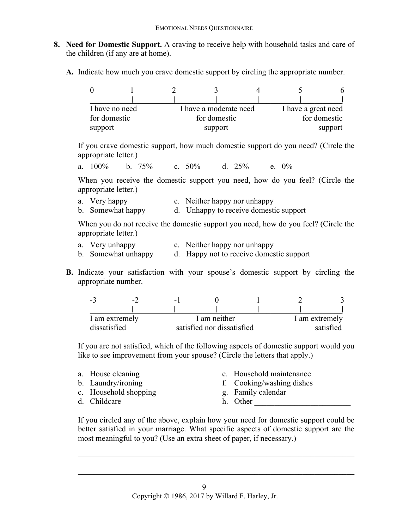- **8. Need for Domestic Support.** A craving to receive help with household tasks and care of the children (if any are at home).
	- **A.** Indicate how much you crave domestic support by circling the appropriate number.

| I have a moderate need<br>I have no need |  |         |              | I have a great need |  |              |
|------------------------------------------|--|---------|--------------|---------------------|--|--------------|
| for domestic                             |  |         | for domestic |                     |  | for domestic |
| support                                  |  | support |              |                     |  | support      |

If you crave domestic support, how much domestic support do you need? (Circle the appropriate letter.)

a. 100% b. 75% c. 50% d. 25% e. 0%

When you receive the domestic support you need, how do you feel? (Circle the appropriate letter.)

- a. Very happy c. Neither happy nor unhappy
- b. Somewhat happy d. Unhappy to receive domestic support

When you do not receive the domestic support you need, how do you feel? (Circle the appropriate letter.)

- a. Very unhappy c. Neither happy nor unhappy
- b. Somewhat unhappy d. Happy not to receive domestic support
- **B.** Indicate your satisfaction with your spouse's domestic support by circling the appropriate number.

| $-1$           | $\overline{\phantom{0}}$ | - 1          |                            |  |                |           |
|----------------|--------------------------|--------------|----------------------------|--|----------------|-----------|
|                |                          |              |                            |  |                |           |
| I am extremely |                          | I am neither |                            |  | I am extremely |           |
| dissatisfied   |                          |              | satisfied nor dissatisfied |  |                | satisfied |

If you are not satisfied, which of the following aspects of domestic support would you like to see improvement from your spouse? (Circle the letters that apply.)

|  | a. House cleaning<br>b. Laundry/ironing<br>c. Household shopping<br>d. Childcare |  | e. Household maintenance<br>f. Cooking/washing dishes<br>g. Family calendar<br>h. Other |
|--|----------------------------------------------------------------------------------|--|-----------------------------------------------------------------------------------------|
|--|----------------------------------------------------------------------------------|--|-----------------------------------------------------------------------------------------|

If you circled any of the above, explain how your need for domestic support could be better satisfied in your marriage. What specific aspects of domestic support are the most meaningful to you? (Use an extra sheet of paper, if necessary.)

 $\mathcal{L}_\text{max} = \frac{1}{2} \sum_{i=1}^n \mathcal{L}_\text{max}(\mathbf{z}_i - \mathbf{z}_i)$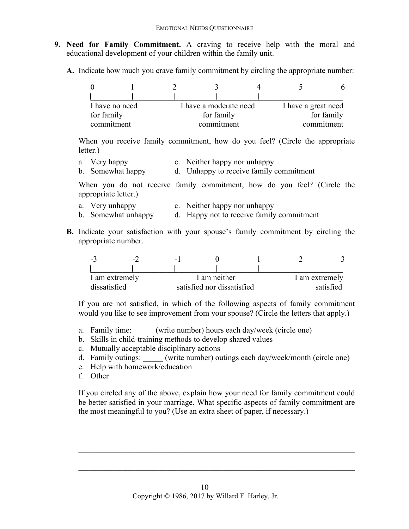- **9. Need for Family Commitment.** A craving to receive help with the moral and educational development of your children within the family unit.
	- **A.** Indicate how much you crave family commitment by circling the appropriate number:

| I have no need |  |  | I have a moderate need |  | I have a great need |            |  |
|----------------|--|--|------------------------|--|---------------------|------------|--|
| for family     |  |  | for family             |  |                     | for family |  |
| commitment     |  |  | commitment             |  |                     | commitment |  |

When you receive family commitment, how do you feel? (Circle the appropriate letter.)

- a. Very happy c. Neither happy nor unhappy
- b. Somewhat happy d. Unhappy to receive family commitment

When you do not receive family commitment, how do you feel? (Circle the appropriate letter.)

- 
- a. Very unhappy c. Neither happy nor unhappy<br>b. Somewhat unhappy d. Happy not to receive family d. Happy not to receive family commitment
- **B.** Indicate your satisfaction with your spouse's family commitment by circling the appropriate number.

| $-1$           | $\overline{z}$ | $-1$                       |  |  |                |           |
|----------------|----------------|----------------------------|--|--|----------------|-----------|
|                |                |                            |  |  |                |           |
| I am extremely |                | I am neither               |  |  | I am extremely |           |
| dissatisfied   |                | satisfied nor dissatisfied |  |  |                | satisfied |

If you are not satisfied, in which of the following aspects of family commitment would you like to see improvement from your spouse? (Circle the letters that apply.)

- a. Family time: (write number) hours each day/week (circle one)
- b. Skills in child-training methods to develop shared values
- c. Mutually acceptable disciplinary actions
- d. Family outings: \_\_\_\_\_ (write number) outings each day/week/month (circle one)
- e. Help with homework/education
- f. Other

If you circled any of the above, explain how your need for family commitment could be better satisfied in your marriage. What specific aspects of family commitment are the most meaningful to you? (Use an extra sheet of paper, if necessary.)

 $\mathcal{L}_\text{max} = \frac{1}{2} \sum_{i=1}^n \mathcal{L}_\text{max}(\mathbf{z}_i - \mathbf{z}_i)$ 

 $\mathcal{L}_\mathcal{L} = \mathcal{L}_\mathcal{L} = \mathcal{L}_\mathcal{L} = \mathcal{L}_\mathcal{L} = \mathcal{L}_\mathcal{L} = \mathcal{L}_\mathcal{L} = \mathcal{L}_\mathcal{L} = \mathcal{L}_\mathcal{L} = \mathcal{L}_\mathcal{L} = \mathcal{L}_\mathcal{L} = \mathcal{L}_\mathcal{L} = \mathcal{L}_\mathcal{L} = \mathcal{L}_\mathcal{L} = \mathcal{L}_\mathcal{L} = \mathcal{L}_\mathcal{L} = \mathcal{L}_\mathcal{L} = \mathcal{L}_\mathcal{L}$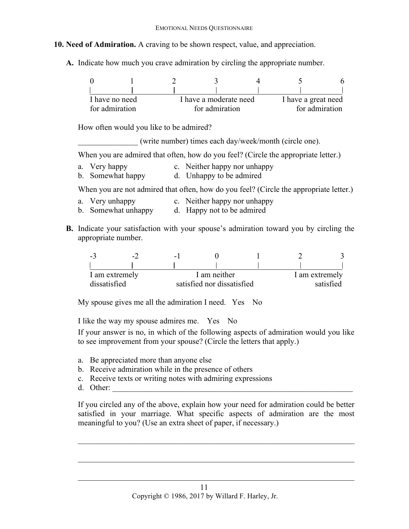## **10. Need of Admiration.** A craving to be shown respect, value, and appreciation.

**A.** Indicate how much you crave admiration by circling the appropriate number.

| I have no need | I have a moderate need |  | I have a great need |
|----------------|------------------------|--|---------------------|
| for admiration | for admiration         |  | for admiration      |

How often would you like to be admired?

\_\_\_\_\_\_\_\_\_\_\_\_\_\_\_ (write number) times each day/week/month (circle one).

When you are admired that often, how do you feel? (Circle the appropriate letter.)

- a. Very happy c. Neither happy nor unhappy
- b. Somewhat happy d. Unhappy to be admired

When you are not admired that often, how do you feel? (Circle the appropriate letter.)

- a. Very unhappy c. Neither happy nor unhappy
- b. Somewhat unhappy d. Happy not to be admired
- **B.** Indicate your satisfaction with your spouse's admiration toward you by circling the appropriate number.

| $-1$           | $\overline{\phantom{0}}$ | -            |                            |  |                |           |
|----------------|--------------------------|--------------|----------------------------|--|----------------|-----------|
|                |                          |              |                            |  |                |           |
| I am extremely |                          | I am neither |                            |  | I am extremely |           |
| dissatisfied   |                          |              | satisfied nor dissatisfied |  |                | satisfied |

My spouse gives me all the admiration I need. Yes No

I like the way my spouse admires me. Yes No

If your answer is no, in which of the following aspects of admiration would you like to see improvement from your spouse? (Circle the letters that apply.)

- a. Be appreciated more than anyone else
- b. Receive admiration while in the presence of others
- c. Receive texts or writing notes with admiring expressions
- d. Other:

If you circled any of the above, explain how your need for admiration could be better satisfied in your marriage. What specific aspects of admiration are the most meaningful to you? (Use an extra sheet of paper, if necessary.)

 $\mathcal{L}_\mathcal{L} = \mathcal{L}_\mathcal{L} = \mathcal{L}_\mathcal{L} = \mathcal{L}_\mathcal{L} = \mathcal{L}_\mathcal{L} = \mathcal{L}_\mathcal{L} = \mathcal{L}_\mathcal{L} = \mathcal{L}_\mathcal{L} = \mathcal{L}_\mathcal{L} = \mathcal{L}_\mathcal{L} = \mathcal{L}_\mathcal{L} = \mathcal{L}_\mathcal{L} = \mathcal{L}_\mathcal{L} = \mathcal{L}_\mathcal{L} = \mathcal{L}_\mathcal{L} = \mathcal{L}_\mathcal{L} = \mathcal{L}_\mathcal{L}$ 

 $\mathcal{L}_\mathcal{L} = \mathcal{L}_\mathcal{L} = \mathcal{L}_\mathcal{L} = \mathcal{L}_\mathcal{L} = \mathcal{L}_\mathcal{L} = \mathcal{L}_\mathcal{L} = \mathcal{L}_\mathcal{L} = \mathcal{L}_\mathcal{L} = \mathcal{L}_\mathcal{L} = \mathcal{L}_\mathcal{L} = \mathcal{L}_\mathcal{L} = \mathcal{L}_\mathcal{L} = \mathcal{L}_\mathcal{L} = \mathcal{L}_\mathcal{L} = \mathcal{L}_\mathcal{L} = \mathcal{L}_\mathcal{L} = \mathcal{L}_\mathcal{L}$